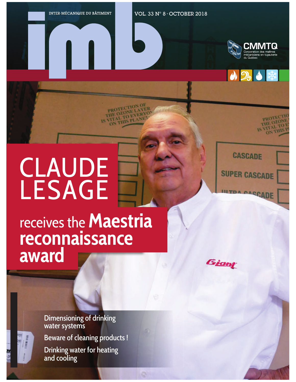PROTEC THE OZO

OZONEVER

THIS PLA

VOL. 33 N° 8 • OCTOBER 2018





PROTE!

## **CLAUDE** LESAGE

**CASCADE** 

**SUPER CASCADE** 

**UTPA CASCADE** 

## receives the **Maestria reconnaissance award**

Giant

Dimensioning of drinking water systems

Beware of cleaning products !

Drinking water for heating and cooling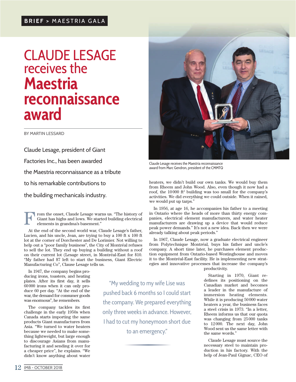## **CLAUDE LESAGE** receives the **Maestria reconnaissance award**

BY MARTIN LESSARD

Claude Lesage, president of Giant Factories Inc., has been awarded the Maestria reconnaissance as a tribute to his remarkable contributions to the building mechanicals industry.

rom the onset, Claude Lesage warns us. "The history of Giant has highs and lows. We started building electrical elements in grandma's basement." F

At the end of the second world war, Claude Lesage's father, Lucien, and his uncle, Jean, are trying to buy a 100 ft x 100 ft lot at the corner of Dorchester and De Lorimier. Not willing to help out a "poor family business", the City of Montréal refuses to sell the lot. They end up buying a building without a roof on their current lot (Lesage street, in Montréal-East for \$10. "My father had \$7 left to start the business, Giant Electric Manufacturing Co", Clause Lesage tells us.

In 1947, the company begins producing irons, toasters, and heating plates. After its first day, it sells 60000 irons when it can only produce 60 per day. "At the end of the war, the demand for consumer goods was enormous", he remembers.

The company tackles its first challenge in the early 1950s when Canada starts importing the same products Giant manufactures from Asia. "We turned to water heaters because we needed to make something lightweight, but large enough to discourage Asians from manufacturing it and sending it over for a cheaper price", he explains. "We didn't know anything about water

"My wedding to my wife Lise was pushed back 6 months so I could start the company. We prepared everything only three weeks in advance. However, I had to cut my honeymoon short due to an emergency."



Claude Lesage receives the Maestria reconnaissance award from Marc Gendron, president of the CMMTQ

heaters, we didn't build our own tanks. We would buy them from Rheem and John Wood. Also, even though it now had a roof, the 10000 ft<sup>2</sup> building was too small for the company's activities. We did everything we could outside. When it rained, we would put up tarps."

In 1956, at age 16, he accompanies his father to a meeting in Ontario where the heads of more than thirty energy companies, electrical element manufacturers, and water heater manufacturers are drawing up a device that would reduce peak power demands." It's not a new idea. Back then we were already talking about peak periods."

In 1967, Claude Lesage, now a graduate electrical engineer from Polytechnique Montréal, buys his father and uncle's company. A short time later, he purchases element production equipment from Ontario-based Westinghouse and moves it to the Montréal-East facility. He is implementing new strategies and innovative processes that increase the company's

productivity.

Starting in 1970, Giant redefines its positioning on the Canadian market and becomes a leader in the manufacture of immersion heating elements. While it is producing 50000 water heaters a year, the business faces a steel crisis in 1973. "In a letter, Rheem informs us that our quota was changing from 25000 tanks to 12 000. The next day, John Wood sent us the same letter with the same words."

Claude Lesage must source the necessary steel to maintain production in his factory. With the help of Jean-Paul Gignac, CEO of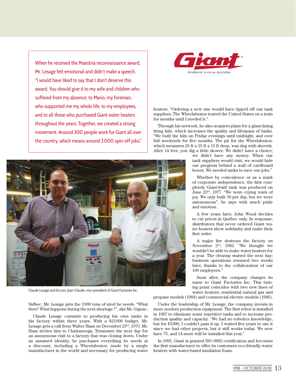When he received the Maestria reconnaissance award, Mr. Lesage felt emotional and didn't make a speech. "I would have liked to say that I don't deserve this award. You should give it to my wife and children who suffered from my absence, to Mario, my foreman, who supported me my whole life, to my employees, and to all those who purchased Giant water heaters throughout the years. Together, we created a strong movement. Around 300 people work for Giant all over the country, which means around 3000 spin-off jobs."



heaters. "Ordering a new one would have tipped off our tank suppliers. The Wheelabrator toured the United States on a train for months until I needed it."

Through his network, he also acquires plans for a glass-lining firing kiln, which increases the quality and lifespans of tanks. "We built the kiln on Friday evenings until midnight, and over full weekends for five months. The pit for the Wheelabrator, which measures 25 ft x 25 ft x 15 ft deep, was dug with shovels. After 14 feet, you dig a little slower. We didn't have a choice;

we didn't have any money. When our tank suppliers would visit, we would hide our progress behind a wall of cardboard boxes. We needed tanks to save our jobs."

Whether by coincidence or as a mark of corporate independence, the first completely Giant-built tank was produced on June 23rd, 1977. "We were crying tears of joy. We only built 50 per day, but we were autonomous", he says with much pride and emotion.

A few years later, John Wood decides to cut prices in Québec only. In response, distributors that never ordered Giant water heaters show solidarity and make their first order.

A major fire destroys the factory on November 2nd, 1982. "We thought we wouldn't be able to make water heaters for a year. The cleanup started the next day; business operations resumed two weeks later, thanks to the collaboration of our 160 employees."

Soon after, the company changes its name to Giant Factories Inc. This turning point coincides with two new lines of water heaters: residential natural gaz and

propane models (1984) and commercial electric models (1986).

Under the leadership of Mr. Lesage, the company invests in more modern production equipment. The first robot is installed in 1987 to eliminate some repetitive tasks and to increase production quality and capacity. "We had no robotics knowledge, but for \$3000, I couldn't pass it up. I waited five years to use it since we had other projects, but it still works today. We now have 75, and 14 more will be installed this year."

In 1995, Giant is granted ISO 9002 certification and becomes the first manufacturer to offer its customers eco-friendly water heaters with water-based insulation foam.



Claude Lesage and his son, Jean-Claude, vice-president of Giant Factories Inc.

Sidbec, Mr. Lesage gets the 2000 tons of steel he needs. "What then? What happens during the next shortage ?", aks Mr. Gignac. Claude Lesage commits to producing his own tanks in his factory within three years. With a \$25000 budget, Mr. Lesage gets a call from Walter Haas on December 23rd, 1973. Mr. Haas invites him to Chattanooga, Tennessee the next day for an anonymous visit to a factory that was closing down. Under an assumed identity, he purchases everything he needs at a discount, including a Wheelabrator, made by a single manufacturer in the world and necessary for producing water